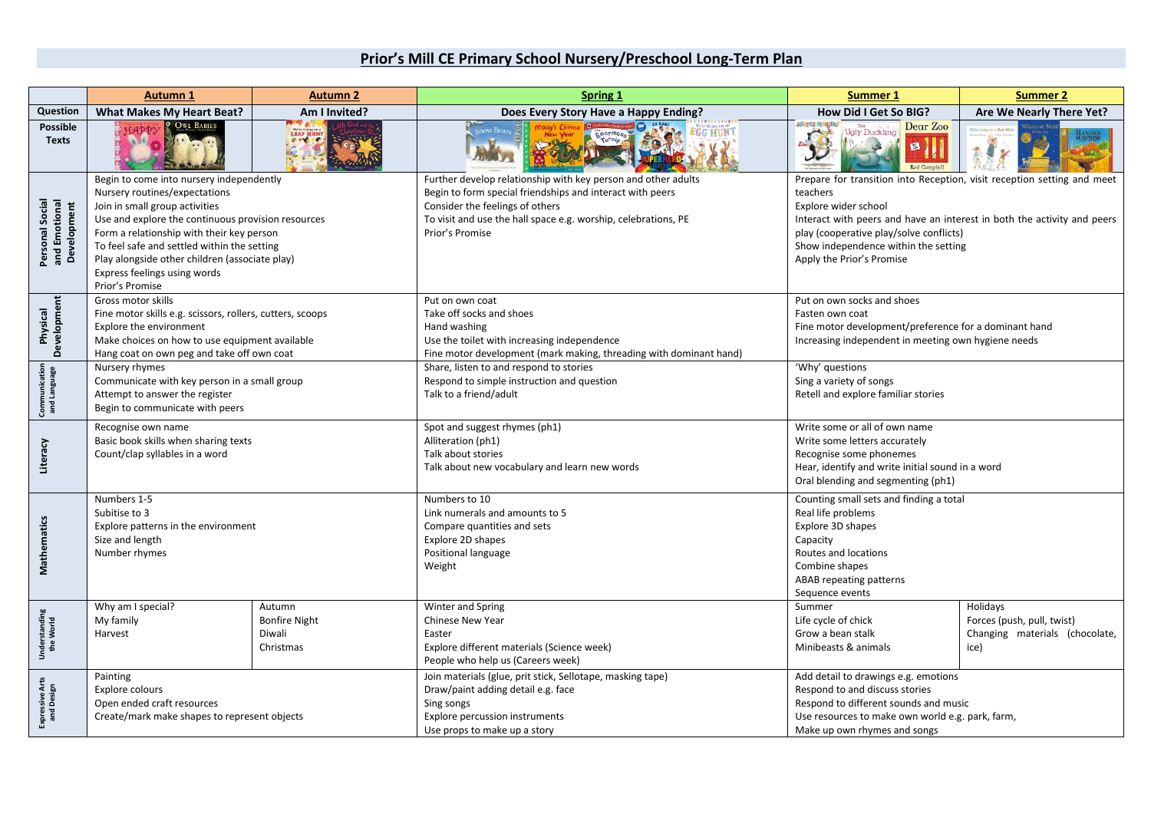## **Prior's Mill CE Primary School Nursery/Preschool Long-Term Plan**

|                                                 | <b>Autumn 1</b>                                                                                                                                                                                                                                                                                                                                                    | <b>Autumn 2</b>                                       | Spring 1                                                                                                                                                                                                                                           | <b>Summer 1</b>                                                                                                                                                                                                                                                                                        | <b>Summer 2</b>                                                                  |
|-------------------------------------------------|--------------------------------------------------------------------------------------------------------------------------------------------------------------------------------------------------------------------------------------------------------------------------------------------------------------------------------------------------------------------|-------------------------------------------------------|----------------------------------------------------------------------------------------------------------------------------------------------------------------------------------------------------------------------------------------------------|--------------------------------------------------------------------------------------------------------------------------------------------------------------------------------------------------------------------------------------------------------------------------------------------------------|----------------------------------------------------------------------------------|
| Question                                        | <b>What Makes My Heart Beat?</b>                                                                                                                                                                                                                                                                                                                                   | Am I Invited?                                         | Does Every Story Have a Happy Ending?                                                                                                                                                                                                              | How Did I Get So BIG?                                                                                                                                                                                                                                                                                  | Are We Nearly There Yet?                                                         |
| <b>Possible</b><br><b>Texts</b>                 | OWL BABIES                                                                                                                                                                                                                                                                                                                                                         |                                                       |                                                                                                                                                                                                                                                    | <b>JASPER'S BEANSTAL</b><br>Dear Zoo<br><b>Ugly Duckling</b><br>國<br><b>Rod Compbell</b>                                                                                                                                                                                                               | 9.<br>$\mathbf{z}_i$                                                             |
| Personal Social<br>and Emotional<br>Development | Begin to come into nursery independently<br>Nursery routines/expectations<br>Join in small group activities<br>Use and explore the continuous provision resources<br>Form a relationship with their key person<br>To feel safe and settled within the setting<br>Play alongside other children (associate play)<br>Express feelings using words<br>Prior's Promise |                                                       | Further develop relationship with key person and other adults<br>Begin to form special friendships and interact with peers<br>Consider the feelings of others<br>To visit and use the hall space e.g. worship, celebrations, PE<br>Prior's Promise | Prepare for transition into Reception, visit reception setting and meet<br>teachers<br>Explore wider school<br>Interact with peers and have an interest in both the activity and peers<br>play (cooperative play/solve conflicts)<br>Show independence within the setting<br>Apply the Prior's Promise |                                                                                  |
| Development<br>Physical                         | Gross motor skills<br>Fine motor skills e.g. scissors, rollers, cutters, scoops<br>Explore the environment<br>Make choices on how to use equipment available<br>Hang coat on own peg and take off own coat                                                                                                                                                         |                                                       | Put on own coat<br>Take off socks and shoes<br>Hand washing<br>Use the toilet with increasing independence<br>Fine motor development (mark making, threading with dominant hand)                                                                   | Put on own socks and shoes<br>Fasten own coat<br>Fine motor development/preference for a dominant hand<br>Increasing independent in meeting own hygiene needs                                                                                                                                          |                                                                                  |
| Communication<br>and Language                   | Nursery rhymes<br>Communicate with key person in a small group<br>Attempt to answer the register<br>Begin to communicate with peers                                                                                                                                                                                                                                |                                                       | Share, listen to and respond to stories<br>Respond to simple instruction and question<br>Talk to a friend/adult                                                                                                                                    | 'Why' questions<br>Sing a variety of songs<br>Retell and explore familiar stories                                                                                                                                                                                                                      |                                                                                  |
| Literacy                                        | Recognise own name<br>Basic book skills when sharing texts<br>Count/clap syllables in a word                                                                                                                                                                                                                                                                       |                                                       | Spot and suggest rhymes (ph1)<br>Alliteration (ph1)<br>Talk about stories<br>Talk about new vocabulary and learn new words                                                                                                                         | Write some or all of own name<br>Write some letters accurately<br>Recognise some phonemes<br>Hear, identify and write initial sound in a word<br>Oral blending and segmenting (ph1)                                                                                                                    |                                                                                  |
| Mathematics                                     | Numbers 1-5<br>Subitise to 3<br>Explore patterns in the environment<br>Size and length<br>Number rhymes                                                                                                                                                                                                                                                            |                                                       | Numbers to 10<br>Link numerals and amounts to 5<br>Compare quantities and sets<br>Explore 2D shapes<br>Positional language<br>Weight                                                                                                               | Counting small sets and finding a total<br>Real life problems<br>Explore 3D shapes<br>Capacity<br>Routes and locations<br>Combine shapes<br>ABAB repeating patterns<br>Sequence events                                                                                                                 |                                                                                  |
| Understanding<br>the World                      | Why am I special?<br>My family<br>Harvest                                                                                                                                                                                                                                                                                                                          | Autumn<br><b>Bonfire Night</b><br>Diwali<br>Christmas | Winter and Spring<br>Chinese New Year<br>Easter<br>Explore different materials (Science week)<br>People who help us (Careers week)                                                                                                                 | Summer<br>Life cycle of chick<br>Grow a bean stalk<br>Minibeasts & animals                                                                                                                                                                                                                             | Holidays<br>Forces (push, pull, twist)<br>Changing materials (chocolate,<br>ice) |
| Expressive Arts<br>and Design                   | Painting<br>Explore colours<br>Open ended craft resources<br>Create/mark make shapes to represent objects                                                                                                                                                                                                                                                          |                                                       | Join materials (glue, prit stick, Sellotape, masking tape)<br>Draw/paint adding detail e.g. face<br>Sing songs<br><b>Explore percussion instruments</b><br>Use props to make up a story                                                            | Add detail to drawings e.g. emotions<br>Respond to and discuss stories<br>Respond to different sounds and music<br>Use resources to make own world e.g. park, farm,<br>Make up own rhymes and songs                                                                                                    |                                                                                  |